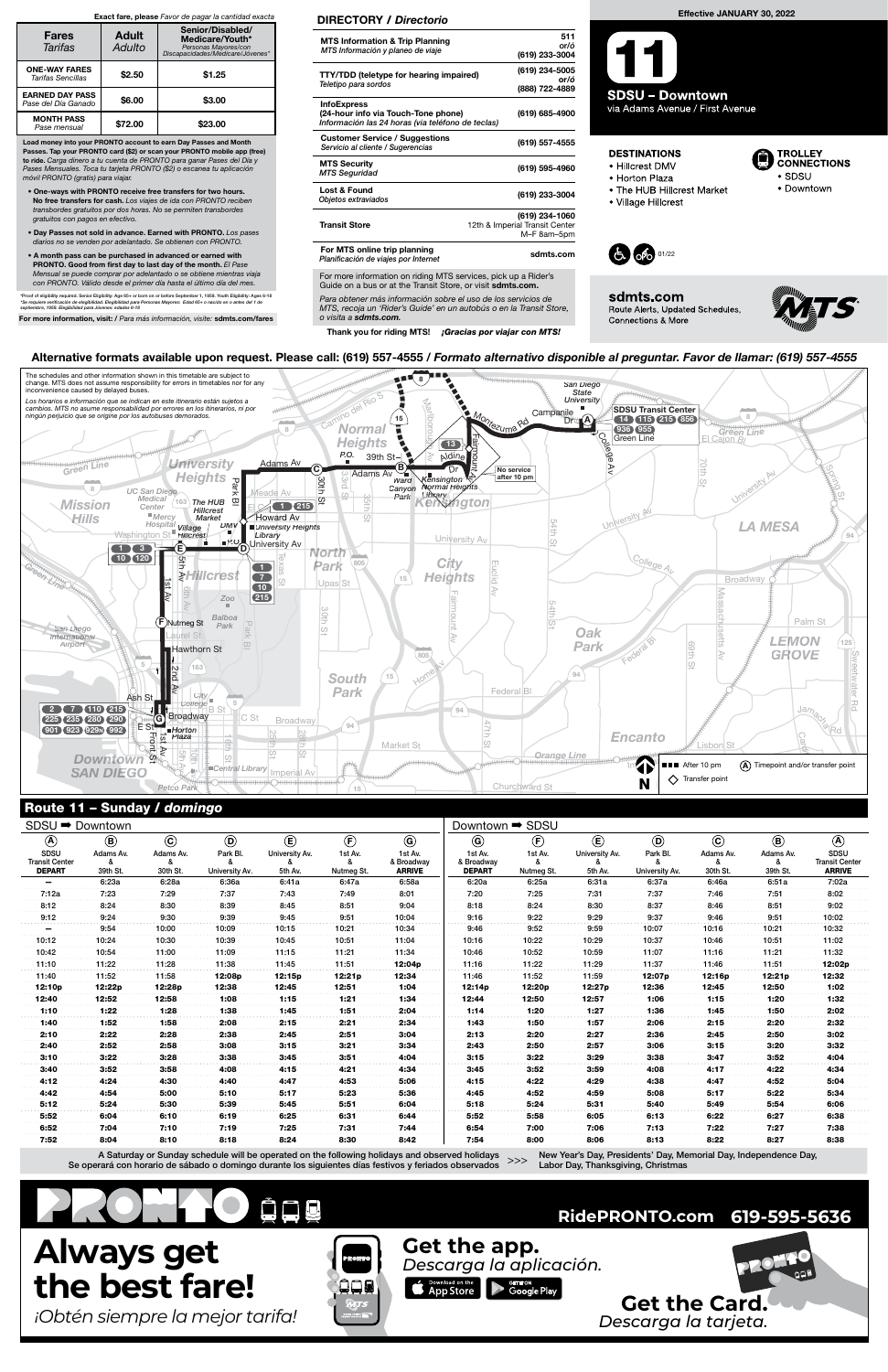## Route 11 – Sunday / domingo

New Year's Day, Presidents' Day, Memorial Day, Independence Day, >>> How Your Day, Theoretic Day, the

| Route 11 - Sunday / domingo                                   |                                              |                                       |                                       |                                                     |                                           |                                                   |                                                          |                                     |                                          |                                              |                                       |                                              |                                                               |  |
|---------------------------------------------------------------|----------------------------------------------|---------------------------------------|---------------------------------------|-----------------------------------------------------|-------------------------------------------|---------------------------------------------------|----------------------------------------------------------|-------------------------------------|------------------------------------------|----------------------------------------------|---------------------------------------|----------------------------------------------|---------------------------------------------------------------|--|
| SDSU → Downtown                                               |                                              |                                       |                                       |                                                     |                                           |                                                   | Downtown <sup>→</sup> SDSU                               |                                     |                                          |                                              |                                       |                                              |                                                               |  |
| $\circledA$<br>SDSU<br><b>Transit Center</b><br><b>DEPART</b> | $\circledcirc$<br>Adams Av.<br>ጼ<br>39th St. | $\odot$<br>Adams Av.<br>&<br>30th St. | $\odot$<br>Park Bl.<br>University Av. | $\circled{\bf E}$<br>University Av.<br>ጼ<br>5th Av. | $\bigoplus$<br>1st Av.<br>ጼ<br>Nutmeg St. | $\odot$<br>1st Av.<br>& Broadway<br><b>ARRIVE</b> | $\circledcirc$<br>1st Av.<br>& Broadway<br><b>DEPART</b> | $\bigcirc$<br>1st Av.<br>Nutmeg St. | $\circlede$<br>University Av.<br>5th Av. | $\circledcirc$<br>Park Bl.<br>University Av. | $\odot$<br>Adams Av.<br>ጼ<br>30th St. | $\circledcirc$<br>Adams Av.<br>ጼ<br>39th St. | $\circledA$<br>SDSU<br><b>Transit Center</b><br><b>ARRIVE</b> |  |
| $\qquad \qquad$                                               | 6:23a                                        | 6:28a                                 | 6:36a                                 | 6:41a                                               | 6:47a                                     | 6:58a                                             | 6:20a                                                    | 6:25a                               | 6:31a                                    | 6:37a                                        | 6:46a                                 | 6:51a                                        | 7:02a                                                         |  |
| 7:12a                                                         | 7:23                                         | 7:29                                  | 7:37                                  | 7:43                                                | 7:49                                      | 8:01                                              | 7:20                                                     | 7:25                                | 7:31                                     | 7:37                                         | 7:46                                  | 7:51                                         | 8:02                                                          |  |
| 8:12                                                          | 8:24                                         | 8:30                                  | 8:39                                  | 8:45                                                | 8:51                                      | 9:04                                              | 8:18                                                     | 8:24                                | 8:30                                     | 8:37                                         | 8:46                                  | 8:51                                         | 9:02                                                          |  |
| 9:12<br>.                                                     | 9:24                                         | 9:30                                  | 9:39                                  | 9:45                                                | 9:51                                      | 10:04                                             | 9:16                                                     | 9:22                                | 9:29                                     | 9:37                                         | 9:46                                  | 9:51                                         | 10:02                                                         |  |
|                                                               | 9:54                                         | 10:00                                 | 10:09                                 | 10:15                                               | 10:21                                     | 10:34                                             | 9:46                                                     | 9:52                                | 9:59                                     | 10:07                                        | 10:16                                 | 10:21                                        | 10:32                                                         |  |
| 10:12                                                         | 10:24                                        | 10:30                                 | 10:39                                 | 10:45                                               | 10:51                                     | 11:04                                             | 10:16                                                    | 10:22                               | 10:29                                    | 10:37                                        | 10:46                                 | 10:51                                        | 11:02                                                         |  |
| 10:42                                                         | 10:54                                        | 11:00                                 | 11:09                                 | 11:15                                               | 11:21                                     | 11:34                                             | 10:46                                                    | 10:52                               | 10:59                                    | 11:07                                        | 11:16                                 | 11:21                                        | 11:32                                                         |  |
| 11:10                                                         | 11:22                                        | 11:28                                 | 11:38                                 | 11:45                                               | 11:51                                     | 12:04p                                            | 11:16                                                    | 11:22                               | 11:29                                    | 11:37                                        | 11:46                                 | 11:51                                        | 12:02p                                                        |  |
| 11:40                                                         | 11:52                                        | 11:58                                 | 12:08p                                | 12:15p                                              | 12:21p                                    | 12:34                                             | 11:46                                                    | 11:52                               | 11:59                                    | 12:07p                                       | 12:16p                                | 12:21p                                       | 12:32                                                         |  |
| 12:10p                                                        | 12:22p                                       | 12:28p                                | 12:38                                 | 12:45                                               | 12:51                                     | 1:04                                              | 12:14p                                                   | 12:20p                              | 12:27p                                   | 12:36                                        | 12:45                                 | 12:50                                        | 1:02                                                          |  |
| 12:40                                                         | 12:52                                        | 12:58                                 | 1:08                                  | 1:15                                                | 1:21                                      | 1:34                                              | 12:44                                                    | 12:50                               | 12:57                                    | 1:06                                         | 1:15                                  | 1:20                                         | 1:32                                                          |  |
| 1:10                                                          | 1:22                                         | 1:28                                  | 1:38                                  | 1:45                                                | 1:51                                      | 2:04                                              | 1:14                                                     | 1:20                                | 1:27                                     | 1:36                                         | 1:45                                  | 1:50                                         | 2:02                                                          |  |
| 1:40                                                          | 1:52                                         | 1:58                                  | 2:08                                  | 2:15                                                | 2:21                                      | 2:34                                              | 1:43                                                     | 1:50                                | 1:57                                     | 2:06                                         | 2:15                                  | 2:20                                         | 2:32                                                          |  |
| 2:10                                                          | 2:22                                         | 2:28                                  | 2:38                                  | 2:45                                                | 2:51                                      | 3:04                                              | 2:13                                                     | 2:20                                | 2:27                                     | 2:36                                         | 2:45                                  | 2:50                                         | 3:02                                                          |  |
| 2:40                                                          | 2:52                                         | 2:58                                  | 3:08                                  | 3:15                                                | 3:21                                      | 3:34                                              | 2:43                                                     | 2:50                                | 2:57                                     | 3:06                                         | 3:15                                  | 3:20                                         | 3:32                                                          |  |
| 3:10                                                          | 3:22                                         | 3:28                                  | 3:38                                  | 3:45                                                | 3:51                                      | 4:04                                              | 3:15                                                     | 3:22                                | 3:29                                     | 3:38                                         | 3:47                                  | 3:52                                         | 4:04                                                          |  |
| 3:40                                                          | 3:52                                         | 3:58                                  | 4:08                                  | 4:15                                                | 4:21                                      | 4:34                                              | 3:45                                                     | 3:52                                | 3:59                                     | 4:08                                         | 4:17                                  | 4:22                                         | 4:34                                                          |  |
| 4:12                                                          | 4:24                                         | 4:30                                  | 4:40                                  | 4:47                                                | 4:53                                      | 5:06                                              | 4:15                                                     | 4:22                                | 4:29                                     | 4:38                                         | 4:47                                  | 4:52                                         | 5:04                                                          |  |
| 4:42                                                          | 4:54                                         | 5:00                                  | 5:10                                  | 5:17                                                | 5:23                                      | 5:36                                              | 4:45                                                     | 4:52                                | 4:59                                     | 5:08                                         | 5:17                                  | 5:22                                         | 5:34                                                          |  |
| 5:12                                                          | 5:24                                         | 5:30                                  | 5:39                                  | 5:45                                                | 5:51                                      | 6:04                                              | 5:18                                                     | 5:24                                | 5:31                                     | 5:40                                         | 5:49                                  | 5:54                                         | 6:06                                                          |  |
| 5:52                                                          | 6:04                                         | 6:10                                  | 6:19                                  | 6:25                                                | 6:31                                      | 6:44                                              | 5:52                                                     | 5:58                                | 6:05                                     | 6:13                                         | 6:22                                  | 6:27                                         | 6:38                                                          |  |
| 6:52                                                          | 7:04                                         | 7:10                                  | 7:19                                  | 7:25                                                | 7:31                                      | 7:44                                              | 6:54                                                     | 7:00                                | 7:06                                     | 7:13                                         | 7:22                                  | 7:27                                         | 7:38                                                          |  |
| 7:52                                                          | 8:04                                         | 8:10                                  | 8:18                                  | 8:24                                                | 8:30                                      | 8:42                                              | 7:54                                                     | 8:00                                | 8:06                                     | 8:13                                         | 8:22                                  | 8:27                                         | 8:38                                                          |  |



Alternative formats available upon request. Please call: (619) 557-4555 / Formato alternativo disponible al preguntar. Favor de llamar: (619) 557-4555

A Saturday or Sunday schedule will be operated on the following holidays and observed holidays Se operará con horario de sábado o domingo durante los siguientes días festivos y feriados observados



For more information on riding MTS services, pick up a Rider's Guide on a bus or at the Transit Store, or visit sdmts.com.

Para obtener más información sobre el uso de los servicios de MTS, recoja un 'Rider's Guide' en un autobús o en la Transit Store, o visita a sdmts.com.

Thank you for riding MTS! ¡Gracias por viajar con MTS!

### DIRECTORY / Directorio

| <b>MTS Information &amp; Trip Planning</b><br>MTS Información y planeo de viaje                                | 511<br>or/ó<br>(619) 233-3004                                   |
|----------------------------------------------------------------------------------------------------------------|-----------------------------------------------------------------|
| TTY/TDD (teletype for hearing impaired)<br>Teletipo para sordos                                                | (619) 234-5005<br>or/ó<br>(888) 722-4889                        |
| <b>InfoExpress</b><br>(24-hour info via Touch-Tone phone)<br>Información las 24 horas (via teléfono de teclas) | (619) 685-4900                                                  |
| <b>Customer Service / Suggestions</b><br>Servicio al cliente / Sugerencias                                     | (619) 557-4555                                                  |
| <b>MTS Security</b><br><b>MTS Seguridad</b>                                                                    | (619) 595-4960                                                  |
| Lost & Found<br>Objetos extraviados                                                                            | (619) 233-3004                                                  |
| <b>Transit Store</b>                                                                                           | (619) 234-1060<br>12th & Imperial Transit Center<br>M-F 8am-5pm |
| For MTS online trip planning<br>Planificación de viajes por Internet                                           | sdmts.com                                                       |

Load money into your PRONTO account to earn Day Passes and Month Passes. Tap your PRONTO card (\$2) or scan your PRONTO mobile app (free) to ride. Carga dinero a tu cuenta de PRONTO para ganar Pases del Día y Pases Mensuales. Toca tu tarjeta PRONTO (\$2) o escanea tu aplicación móvil PRONTO (gratis) para viajar.

- One-ways with PRONTO receive free transfers for two hours. No free transfers for cash. Los viajes de ida con PRONTO reciben transbordes gratuitos por dos horas. No se permiten transbordes gratuitos con pagos en efectivo.
- Day Passes not sold in advance. Earned with PRONTO. Los pases diarios no se venden por adelantado. Se obtienen con PRONTO.
- A month pass can be purchased in advanced or earned with PRONTO. Good from first day to last day of the month. El Pase Mensual se puede comprar por adelantado o se obtiene mientras viaja con PRONTO. Válido desde el primer día hasta el último día del mes.

\*Proof of eligibility required. Senior Eligibility: Age 65+ or born on or before September 1, 1959. Youth Eligibility: Ages 6-18<br>\*Se requiere verificación de elegibilidad. Elegibilidad para Personas Mayores: Edad 65+ o nac

For more information, visit: / Para más información, visite: sdmts.com/fares

#### Exact fare, please Favor de pagar la cantidad exacta

| <b>Fares</b><br>Tarifas                       | <b>Adult</b><br>Adulto | Senior/Disabled/<br>Medicare/Youth*<br>Personas Mayores/con<br>Discapacidades/Medicare/Jóvenes* |  |  |  |  |
|-----------------------------------------------|------------------------|-------------------------------------------------------------------------------------------------|--|--|--|--|
| <b>ONE-WAY FARES</b><br>Tarifas Sencillas     | \$2.50                 | \$1.25                                                                                          |  |  |  |  |
| <b>EARNED DAY PASS</b><br>Pase del Día Ganado | \$6.00                 | \$3.00                                                                                          |  |  |  |  |
| <b>MONTH PASS</b><br>Pase mensual             | \$72.00                | \$23.00                                                                                         |  |  |  |  |

#### Effective JANUARY 30, 2022

**SDSU - Downtown** via Adams Avenue / First Avenue

## **DESTINATIONS**

- · Hillcrest DMV
- · Horton Plaza
- The HUB Hillcrest Market
- Village Hillcrest



sdmts.com Route Alerts, Updated Schedules, Connections & More



**TROLLEY CONNECTIONS** 

· Downtown

 $\bullet$  SDSU